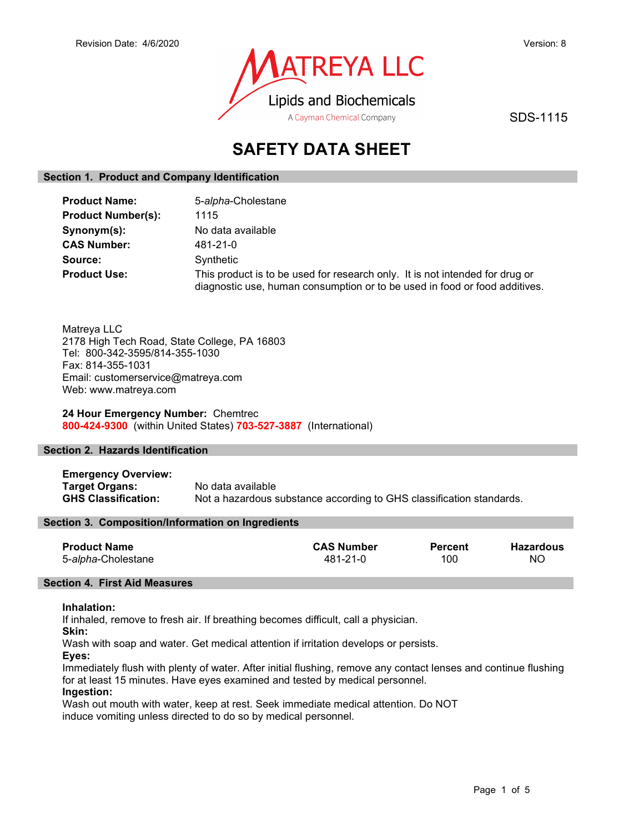

SDS-1115

# SAFETY DATA SHEET

## Section 1. Product and Company Identification

| <b>Product Name:</b>      | 5-alpha-Cholestane                                                                                                                                         |
|---------------------------|------------------------------------------------------------------------------------------------------------------------------------------------------------|
| <b>Product Number(s):</b> | 1115                                                                                                                                                       |
| Synonym(s):               | No data available                                                                                                                                          |
| <b>CAS Number:</b>        | 481-21-0                                                                                                                                                   |
| Source:                   | Synthetic                                                                                                                                                  |
| <b>Product Use:</b>       | This product is to be used for research only. It is not intended for drug or<br>diagnostic use, human consumption or to be used in food or food additives. |

Matreya LLC 2178 High Tech Road, State College, PA 16803 Tel: 800-342-3595/814-355-1030 Fax: 814-355-1031 Email: customerservice@matreya.com Web: www.matreya.com

24 Hour Emergency Number: Chemtrec 800-424-9300 (within United States) 703-527-3887 (International)

## Section 2. Hazards Identification

Emergency Overview: Target Organs: No data available GHS Classification: Not a hazardous substance according to GHS classification standards.

## Section 3. Composition/Information on Ingredients

| <b>Product Name</b> | <b>CAS Number</b> | <b>Percent</b> | Hazardous |
|---------------------|-------------------|----------------|-----------|
| 5-alpha-Cholestane  | 481-21-0          | 100            | NO.       |

## Section 4. First Aid Measures

## Inhalation:

If inhaled, remove to fresh air. If breathing becomes difficult, call a physician.

Skin:

Wash with soap and water. Get medical attention if irritation develops or persists.

Eyes:

Immediately flush with plenty of water. After initial flushing, remove any contact lenses and continue flushing for at least 15 minutes. Have eyes examined and tested by medical personnel.

## Ingestion:

Wash out mouth with water, keep at rest. Seek immediate medical attention. Do NOT induce vomiting unless directed to do so by medical personnel.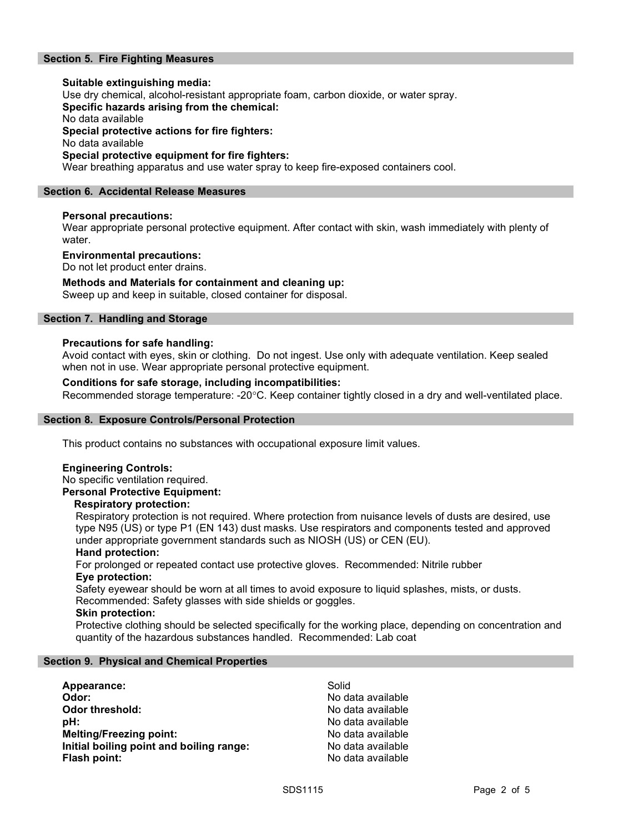## Section 5. Fire Fighting Measures

## Suitable extinguishing media: Use dry chemical, alcohol-resistant appropriate foam, carbon dioxide, or water spray. Specific hazards arising from the chemical: No data available Special protective actions for fire fighters: No data available Special protective equipment for fire fighters:

Wear breathing apparatus and use water spray to keep fire-exposed containers cool.

## Section 6. Accidental Release Measures

## Personal precautions:

Wear appropriate personal protective equipment. After contact with skin, wash immediately with plenty of water.

### Environmental precautions:

Do not let product enter drains.

### Methods and Materials for containment and cleaning up:

Sweep up and keep in suitable, closed container for disposal.

## Section 7. Handling and Storage

### Precautions for safe handling:

Avoid contact with eyes, skin or clothing. Do not ingest. Use only with adequate ventilation. Keep sealed when not in use. Wear appropriate personal protective equipment.

## Conditions for safe storage, including incompatibilities:

Recommended storage temperature: -20°C. Keep container tightly closed in a dry and well-ventilated place.

### Section 8. Exposure Controls/Personal Protection

This product contains no substances with occupational exposure limit values.

### Engineering Controls:

No specific ventilation required. Personal Protective Equipment:

### Respiratory protection:

Respiratory protection is not required. Where protection from nuisance levels of dusts are desired, use type N95 (US) or type P1 (EN 143) dust masks. Use respirators and components tested and approved under appropriate government standards such as NIOSH (US) or CEN (EU).

### Hand protection:

For prolonged or repeated contact use protective gloves. Recommended: Nitrile rubber Eye protection:

Safety eyewear should be worn at all times to avoid exposure to liquid splashes, mists, or dusts. Recommended: Safety glasses with side shields or goggles.

### Skin protection:

Protective clothing should be selected specifically for the working place, depending on concentration and quantity of the hazardous substances handled. Recommended: Lab coat

### Section 9. Physical and Chemical Properties

| Appearance:                              | Solid             |
|------------------------------------------|-------------------|
| Odor:                                    | No data available |
| <b>Odor threshold:</b>                   | No data available |
| pH:                                      | No data available |
| <b>Melting/Freezing point:</b>           | No data available |
| Initial boiling point and boiling range: | No data available |
| Flash point:                             | No data available |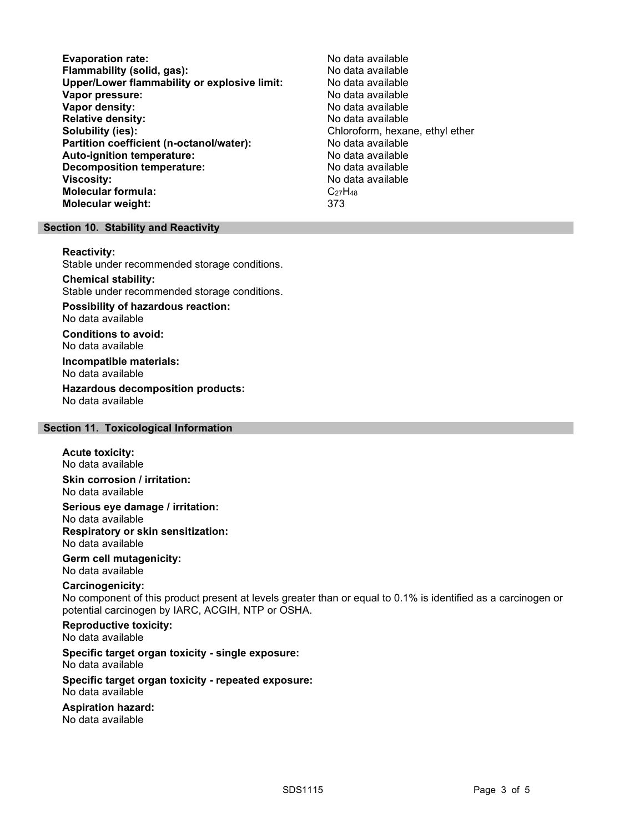Evaporation rate:<br>
Flammability (solid. gas): No data available Flammability (solid, gas):<br>
Upper/Lower flammability or explosive limit: No data available Upper/Lower flammability or explosive limit: Vapor pressure:  $\blacksquare$ Vapor density: No data available Relative density:<br>
Solubility (ies):<br>
Solubility (ies):<br>
No data available<br>
Chloroform, hexar Partition coefficient (n-octanol/water): No data available Auto-ignition temperature: No data available Decomposition temperature: No data available Viscosity: No data available Molecular formula: C<sub>27</sub>H<sub>48</sub> Molecular weight: 373

Chloroform, hexane, ethyl ether

### Section 10. Stability and Reactivity

#### Reactivity:

Stable under recommended storage conditions.

### Chemical stability:

Stable under recommended storage conditions.

## Possibility of hazardous reaction:

No data available

Conditions to avoid: No data available

### Incompatible materials: No data available

Hazardous decomposition products: No data available

## Section 11. Toxicological Information

#### Acute toxicity: No data available

Skin corrosion / irritation: No data available

Serious eye damage / irritation: No data available Respiratory or skin sensitization: No data available

### Germ cell mutagenicity: No data available

### Carcinogenicity:

No component of this product present at levels greater than or equal to 0.1% is identified as a carcinogen or potential carcinogen by IARC, ACGIH, NTP or OSHA.

## Reproductive toxicity:

No data available

## Specific target organ toxicity - single exposure:

No data available

#### Specific target organ toxicity - repeated exposure: No data available

## Aspiration hazard:

No data available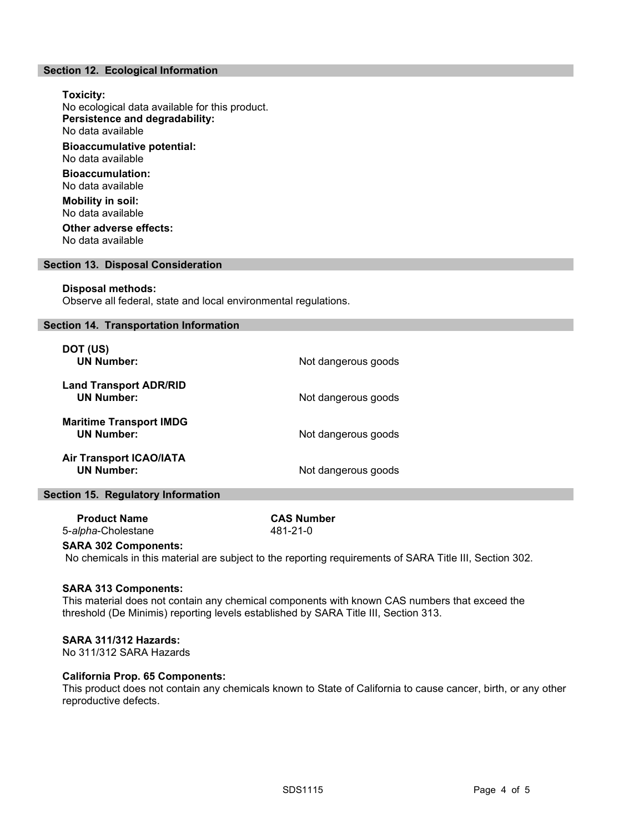## Section 12. Ecological Information

Toxicity: No ecological data available for this product. Persistence and degradability: No data available Bioaccumulative potential: No data available Bioaccumulation: No data available Mobility in soil: No data available Other adverse effects:

No data available

### Section 13. Disposal Consideration

### Disposal methods:

Observe all federal, state and local environmental regulations.

### Section 14. Transportation Information

| DOT (US)<br><b>UN Number:</b>                       | Not dangerous goods |
|-----------------------------------------------------|---------------------|
| <b>Land Transport ADR/RID</b><br><b>UN Number:</b>  | Not dangerous goods |
| <b>Maritime Transport IMDG</b><br><b>UN Number:</b> | Not dangerous goods |
| <b>Air Transport ICAO/IATA</b><br><b>UN Number:</b> | Not dangerous goods |

### Section 15. Regulatory Information

 Product Name CAS Number 5-alpha-Cholestane 481-21-0

# SARA 302 Components:

No chemicals in this material are subject to the reporting requirements of SARA Title III, Section 302.

### SARA 313 Components:

This material does not contain any chemical components with known CAS numbers that exceed the threshold (De Minimis) reporting levels established by SARA Title III, Section 313.

### SARA 311/312 Hazards:

No 311/312 SARA Hazards

### California Prop. 65 Components:

This product does not contain any chemicals known to State of California to cause cancer, birth, or any other reproductive defects.